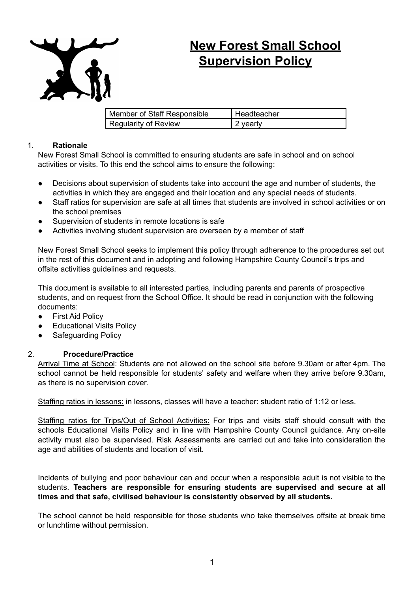

## **New Forest Small School Supervision Policy**

| Member of Staff Responsible | Headteacher |
|-----------------------------|-------------|
| Regularity of Review        | 2 yearly    |

## 1. **Rationale**

New Forest Small School is committed to ensuring students are safe in school and on school activities or visits. To this end the school aims to ensure the following:

- Decisions about supervision of students take into account the age and number of students, the activities in which they are engaged and their location and any special needs of students.
- Staff ratios for supervision are safe at all times that students are involved in school activities or on the school premises
- Supervision of students in remote locations is safe
- Activities involving student supervision are overseen by a member of staff

New Forest Small School seeks to implement this policy through adherence to the procedures set out in the rest of this document and in adopting and following Hampshire County Council's trips and offsite activities guidelines and requests.

This document is available to all interested parties, including parents and parents of prospective students, and on request from the School Office. It should be read in conjunction with the following documents:

- First Aid Policy
- Educational Visits Policy
- Safeguarding Policy

## 2. **Procedure/Practice**

Arrival Time at School: Students are not allowed on the school site before 9.30am or after 4pm. The school cannot be held responsible for students' safety and welfare when they arrive before 9.30am, as there is no supervision cover.

Staffing ratios in lessons: in lessons, classes will have a teacher: student ratio of 1:12 or less.

Staffing ratios for Trips/Out of School Activities: For trips and visits staff should consult with the schools Educational Visits Policy and in line with Hampshire County Council guidance. Any on-site activity must also be supervised. Risk Assessments are carried out and take into consideration the age and abilities of students and location of visit.

Incidents of bullying and poor behaviour can and occur when a responsible adult is not visible to the students. **Teachers are responsible for ensuring students are supervised and secure at all times and that safe, civilised behaviour is consistently observed by all students.**

The school cannot be held responsible for those students who take themselves offsite at break time or lunchtime without permission.